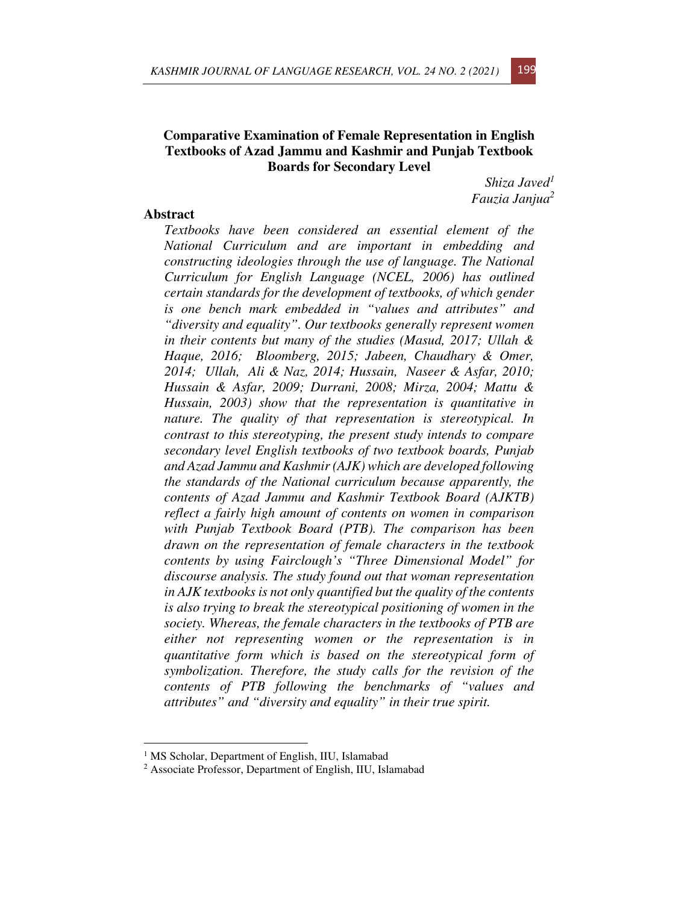# **Comparative Examination of Female Representation in English Textbooks of Azad Jammu and Kashmir and Punjab Textbook Boards for Secondary Level**

*Shiza Javed<sup>1</sup> Fauzia Janjua<sup>2</sup>*

# **Abstract**

*Textbooks have been considered an essential element of the National Curriculum and are important in embedding and constructing ideologies through the use of language. The National Curriculum for English Language (NCEL, 2006) has outlined certain standards for the development of textbooks, of which gender is one bench mark embedded in "values and attributes" and "diversity and equality". Our textbooks generally represent women in their contents but many of the studies (Masud, 2017; Ullah & Haque, 2016; Bloomberg, 2015; Jabeen, Chaudhary & Omer, 2014; Ullah, Ali & Naz, 2014; Hussain, Naseer & Asfar, 2010; Hussain & Asfar, 2009; Durrani, 2008; Mirza, 2004; Mattu & Hussain, 2003) show that the representation is quantitative in nature. The quality of that representation is stereotypical. In contrast to this stereotyping, the present study intends to compare secondary level English textbooks of two textbook boards, Punjab and Azad Jammu and Kashmir (AJK) which are developed following the standards of the National curriculum because apparently, the contents of Azad Jammu and Kashmir Textbook Board (AJKTB) reflect a fairly high amount of contents on women in comparison with Punjab Textbook Board (PTB). The comparison has been drawn on the representation of female characters in the textbook contents by using Fairclough's "Three Dimensional Model" for discourse analysis. The study found out that woman representation in AJK textbooks is not only quantified but the quality of the contents is also trying to break the stereotypical positioning of women in the society. Whereas, the female characters in the textbooks of PTB are either not representing women or the representation is in quantitative form which is based on the stereotypical form of symbolization. Therefore, the study calls for the revision of the contents of PTB following the benchmarks of "values and attributes" and "diversity and equality" in their true spirit.* 

<sup>&</sup>lt;sup>1</sup> MS Scholar, Department of English, IIU, Islamabad

<sup>&</sup>lt;sup>2</sup> Associate Professor, Department of English, IIU, Islamabad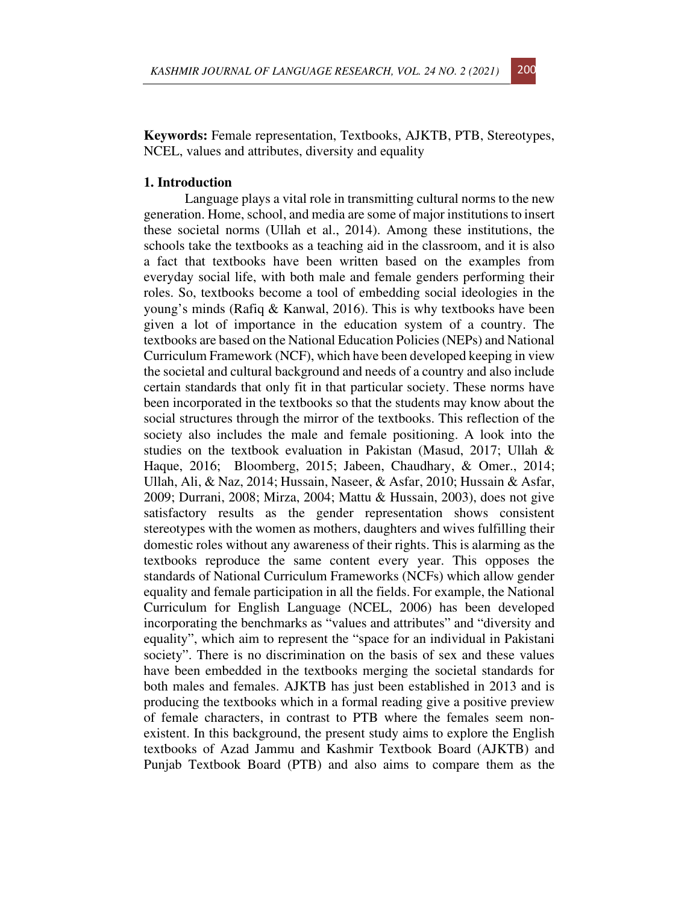**Keywords:** Female representation, Textbooks, AJKTB, PTB, Stereotypes, NCEL, values and attributes, diversity and equality

## **1. Introduction**

Language plays a vital role in transmitting cultural norms to the new generation. Home, school, and media are some of major institutions to insert these societal norms (Ullah et al., 2014). Among these institutions, the schools take the textbooks as a teaching aid in the classroom, and it is also a fact that textbooks have been written based on the examples from everyday social life, with both male and female genders performing their roles. So, textbooks become a tool of embedding social ideologies in the young's minds (Rafiq & Kanwal, 2016). This is why textbooks have been given a lot of importance in the education system of a country. The textbooks are based on the National Education Policies (NEPs) and National Curriculum Framework (NCF), which have been developed keeping in view the societal and cultural background and needs of a country and also include certain standards that only fit in that particular society. These norms have been incorporated in the textbooks so that the students may know about the social structures through the mirror of the textbooks. This reflection of the society also includes the male and female positioning. A look into the studies on the textbook evaluation in Pakistan (Masud, 2017; Ullah & Haque, 2016; Bloomberg, 2015; Jabeen, Chaudhary, & Omer., 2014; Ullah, Ali, & Naz, 2014; Hussain, Naseer, & Asfar, 2010; Hussain & Asfar, 2009; Durrani, 2008; Mirza, 2004; Mattu & Hussain, 2003), does not give satisfactory results as the gender representation shows consistent stereotypes with the women as mothers, daughters and wives fulfilling their domestic roles without any awareness of their rights. This is alarming as the textbooks reproduce the same content every year. This opposes the standards of National Curriculum Frameworks (NCFs) which allow gender equality and female participation in all the fields. For example, the National Curriculum for English Language (NCEL, 2006) has been developed incorporating the benchmarks as "values and attributes" and "diversity and equality", which aim to represent the "space for an individual in Pakistani society". There is no discrimination on the basis of sex and these values have been embedded in the textbooks merging the societal standards for both males and females. AJKTB has just been established in 2013 and is producing the textbooks which in a formal reading give a positive preview of female characters, in contrast to PTB where the females seem nonexistent. In this background, the present study aims to explore the English textbooks of Azad Jammu and Kashmir Textbook Board (AJKTB) and Punjab Textbook Board (PTB) and also aims to compare them as the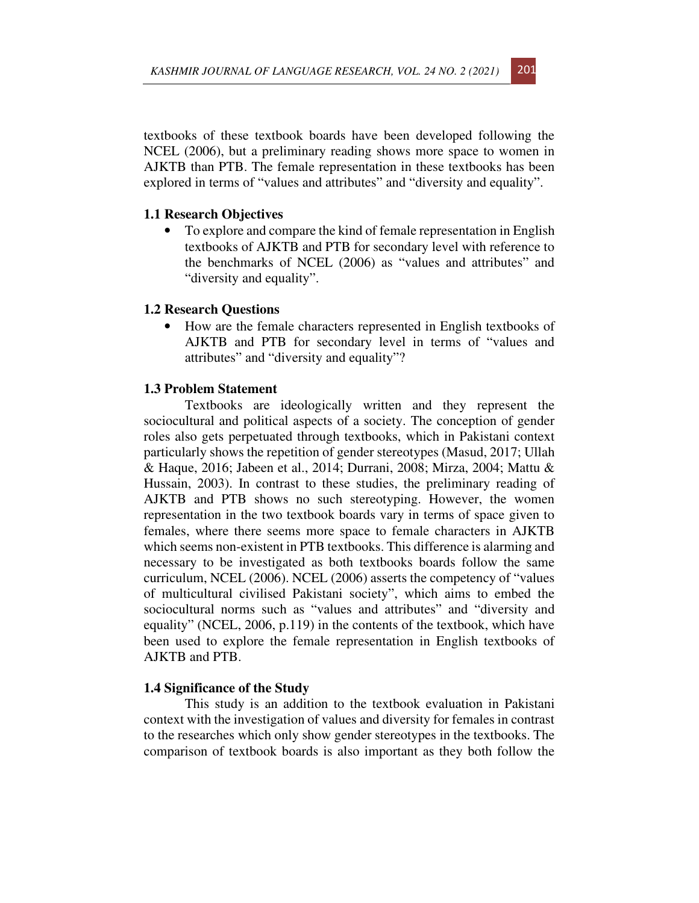textbooks of these textbook boards have been developed following the NCEL (2006), but a preliminary reading shows more space to women in AJKTB than PTB. The female representation in these textbooks has been explored in terms of "values and attributes" and "diversity and equality".

## **1.1 Research Objectives**

• To explore and compare the kind of female representation in English textbooks of AJKTB and PTB for secondary level with reference to the benchmarks of NCEL (2006) as "values and attributes" and "diversity and equality".

## **1.2 Research Questions**

• How are the female characters represented in English textbooks of AJKTB and PTB for secondary level in terms of "values and attributes" and "diversity and equality"?

# **1.3 Problem Statement**

Textbooks are ideologically written and they represent the sociocultural and political aspects of a society. The conception of gender roles also gets perpetuated through textbooks, which in Pakistani context particularly shows the repetition of gender stereotypes (Masud, 2017; Ullah & Haque, 2016; Jabeen et al., 2014; Durrani, 2008; Mirza, 2004; Mattu & Hussain, 2003). In contrast to these studies, the preliminary reading of AJKTB and PTB shows no such stereotyping. However, the women representation in the two textbook boards vary in terms of space given to females, where there seems more space to female characters in AJKTB which seems non-existent in PTB textbooks. This difference is alarming and necessary to be investigated as both textbooks boards follow the same curriculum, NCEL (2006). NCEL (2006) asserts the competency of "values of multicultural civilised Pakistani society", which aims to embed the sociocultural norms such as "values and attributes" and "diversity and equality" (NCEL, 2006, p.119) in the contents of the textbook, which have been used to explore the female representation in English textbooks of AJKTB and PTB.

#### **1.4 Significance of the Study**

This study is an addition to the textbook evaluation in Pakistani context with the investigation of values and diversity for females in contrast to the researches which only show gender stereotypes in the textbooks. The comparison of textbook boards is also important as they both follow the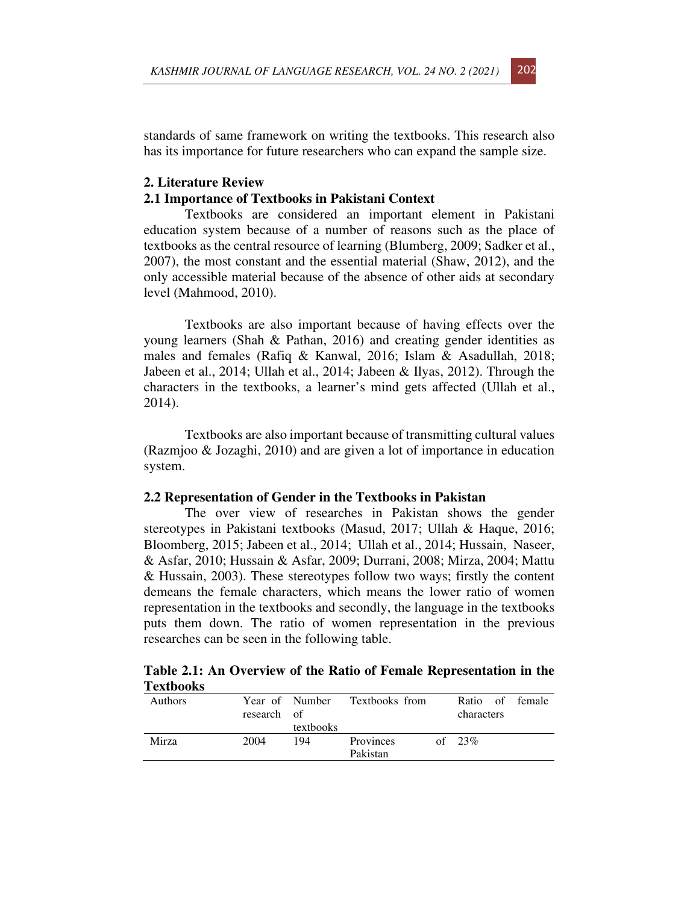standards of same framework on writing the textbooks. This research also has its importance for future researchers who can expand the sample size.

## **2. Literature Review**

## **2.1 Importance of Textbooks in Pakistani Context**

Textbooks are considered an important element in Pakistani education system because of a number of reasons such as the place of textbooks as the central resource of learning (Blumberg, 2009; Sadker et al., 2007), the most constant and the essential material (Shaw, 2012), and the only accessible material because of the absence of other aids at secondary level (Mahmood, 2010).

Textbooks are also important because of having effects over the young learners (Shah & Pathan, 2016) and creating gender identities as males and females (Rafiq & Kanwal, 2016; Islam & Asadullah, 2018; Jabeen et al., 2014; Ullah et al., 2014; Jabeen & Ilyas, 2012). Through the characters in the textbooks, a learner's mind gets affected (Ullah et al., 2014).

Textbooks are also important because of transmitting cultural values (Razmjoo & Jozaghi, 2010) and are given a lot of importance in education system.

#### **2.2 Representation of Gender in the Textbooks in Pakistan**

The over view of researches in Pakistan shows the gender stereotypes in Pakistani textbooks (Masud, 2017; Ullah & Haque, 2016; Bloomberg, 2015; Jabeen et al., 2014; Ullah et al., 2014; Hussain, Naseer, & Asfar, 2010; Hussain & Asfar, 2009; Durrani, 2008; Mirza, 2004; Mattu & Hussain, 2003). These stereotypes follow two ways; firstly the content demeans the female characters, which means the lower ratio of women representation in the textbooks and secondly, the language in the textbooks puts them down. The ratio of women representation in the previous researches can be seen in the following table.

**Table 2.1: An Overview of the Ratio of Female Representation in the Textbooks** 

| Authors | research of | textbooks | Year of Number Textbooks from | Ratio of female<br>characters |  |
|---------|-------------|-----------|-------------------------------|-------------------------------|--|
| Mirza   | 2004        | 194       | Provinces<br>Pakistan         | of $23\%$                     |  |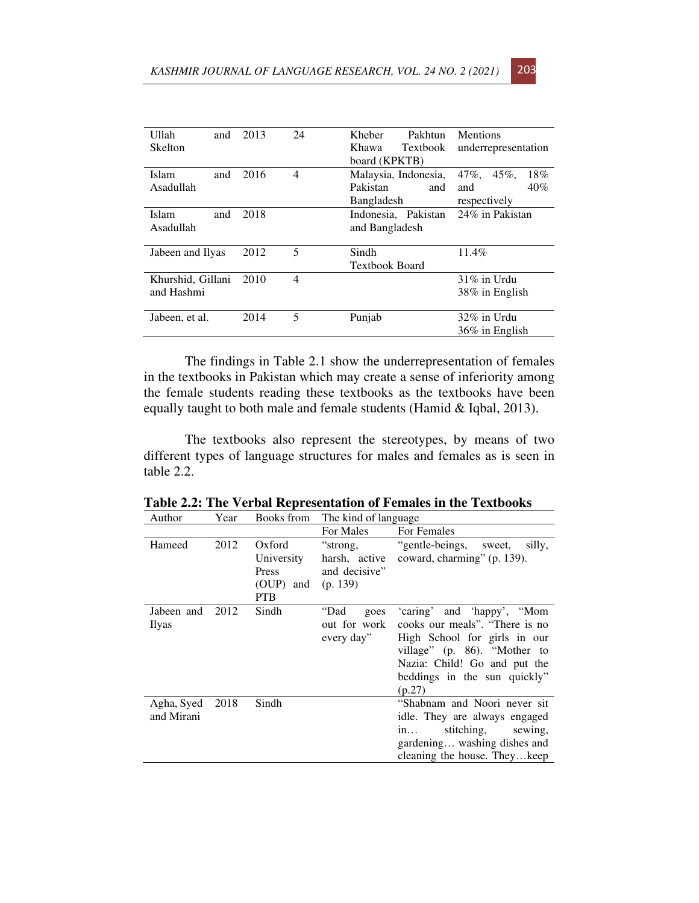| Ullah<br>and      | 2013 | 24 | Kheber<br>Pakhtun     | <b>Mentions</b>             |
|-------------------|------|----|-----------------------|-----------------------------|
| <b>Skelton</b>    |      |    | Khawa<br>Textbook     | underrepresentation         |
|                   |      |    | board (KPKTB)         |                             |
| Islam<br>and      | 2016 | 4  | Malaysia, Indonesia,  | $47\%$ ,<br>$45\%$ ,<br>18% |
| Asadullah         |      |    | Pakistan<br>and       | 40%<br>and                  |
|                   |      |    | Bangladesh            | respectively                |
| Islam<br>and      | 2018 |    | Indonesia, Pakistan   | 24% in Pakistan             |
| Asadullah         |      |    | and Bangladesh        |                             |
|                   |      |    |                       |                             |
| Jabeen and Ilyas  | 2012 | 5  | Sindh                 | 11.4%                       |
|                   |      |    | <b>Textbook Board</b> |                             |
| Khurshid, Gillani | 2010 | 4  |                       | $31\%$ in Urdu              |
| and Hashmi        |      |    |                       | 38% in English              |
|                   |      |    |                       |                             |
| Jabeen, et al.    | 2014 | 5  | Punjab                | $32\%$ in Urdu              |
|                   |      |    |                       | 36% in English              |

The findings in Table 2.1 show the underrepresentation of females in the textbooks in Pakistan which may create a sense of inferiority among the female students reading these textbooks as the textbooks have been equally taught to both male and female students (Hamid & Iqbal, 2013).

The textbooks also represent the stereotypes, by means of two different types of language structures for males and females as is seen in table 2.2.

| Auuioi                        | т сат | DOOKS HOIII                                              | THE KING OF RESURING                                   |                                                                                                                                                                                                        |
|-------------------------------|-------|----------------------------------------------------------|--------------------------------------------------------|--------------------------------------------------------------------------------------------------------------------------------------------------------------------------------------------------------|
|                               |       |                                                          | For Males                                              | For Females                                                                                                                                                                                            |
| Hameed                        | 2012  | Oxford<br>University<br>Press<br>(OUP) and<br><b>PTB</b> | "strong,<br>harsh, active<br>and decisive"<br>(p. 139) | "gentle-beings, sweet,<br>silly,<br>coward, charming" (p. 139).                                                                                                                                        |
| Jabeen and<br>Ilyas           | 2012  | Sindh                                                    | "Dad<br>goes<br>out for work<br>every day"             | 'caring' and 'happy', "Mom<br>cooks our meals". "There is no<br>High School for girls in our<br>village" (p. 86). "Mother to<br>Nazia: Child! Go and put the<br>beddings in the sun quickly"<br>(p.27) |
| Agha, Syed 2018<br>and Mirani |       | Sindh                                                    |                                                        | "Shabnam and Noori never sit<br>idle. They are always engaged<br>stitching, sewing,<br>in<br>gardening washing dishes and<br>cleaning the house. They keep                                             |

**Table 2.2: The Verbal Representation of Females in the Textbooks**   $\overline{Y_{\text{ear}}}$  Books from The kind of language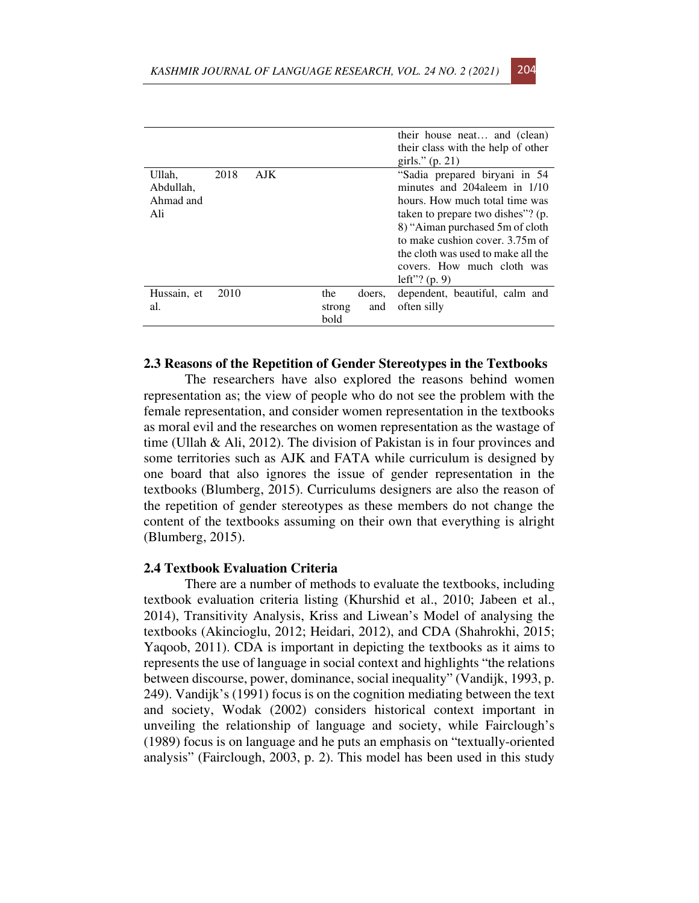|                                         |      |      |                |        | their house neat and (clean)<br>their class with the help of other<br>girls." $(p. 21)$                                                                                                                                                                                                            |
|-----------------------------------------|------|------|----------------|--------|----------------------------------------------------------------------------------------------------------------------------------------------------------------------------------------------------------------------------------------------------------------------------------------------------|
| Ullah,<br>Abdullah.<br>Ahmad and<br>Ali | 2018 | AJK. |                |        | "Sadia prepared biryani in 54<br>minutes and 204 aleem in 1/10<br>hours. How much total time was<br>taken to prepare two dishes"? (p.<br>8) "Aiman purchased 5m of cloth<br>to make cushion cover, 3.75m of<br>the cloth was used to make all the<br>covers. How much cloth was<br>left"? $(p, 9)$ |
| Hussain, et                             | 2010 |      | the            | doers, | dependent, beautiful, calm and                                                                                                                                                                                                                                                                     |
| al.                                     |      |      | strong<br>bold | and    | often silly                                                                                                                                                                                                                                                                                        |

#### **2.3 Reasons of the Repetition of Gender Stereotypes in the Textbooks**

The researchers have also explored the reasons behind women representation as; the view of people who do not see the problem with the female representation, and consider women representation in the textbooks as moral evil and the researches on women representation as the wastage of time (Ullah & Ali, 2012). The division of Pakistan is in four provinces and some territories such as AJK and FATA while curriculum is designed by one board that also ignores the issue of gender representation in the textbooks (Blumberg, 2015). Curriculums designers are also the reason of the repetition of gender stereotypes as these members do not change the content of the textbooks assuming on their own that everything is alright (Blumberg, 2015).

#### **2.4 Textbook Evaluation Criteria**

There are a number of methods to evaluate the textbooks, including textbook evaluation criteria listing (Khurshid et al., 2010; Jabeen et al., 2014), Transitivity Analysis, Kriss and Liwean's Model of analysing the textbooks (Akincioglu, 2012; Heidari, 2012), and CDA (Shahrokhi, 2015; Yaqoob, 2011). CDA is important in depicting the textbooks as it aims to represents the use of language in social context and highlights "the relations between discourse, power, dominance, social inequality" (Vandijk, 1993, p. 249). Vandijk's (1991) focus is on the cognition mediating between the text and society, Wodak (2002) considers historical context important in unveiling the relationship of language and society, while Fairclough's (1989) focus is on language and he puts an emphasis on "textually-oriented analysis" (Fairclough, 2003, p. 2). This model has been used in this study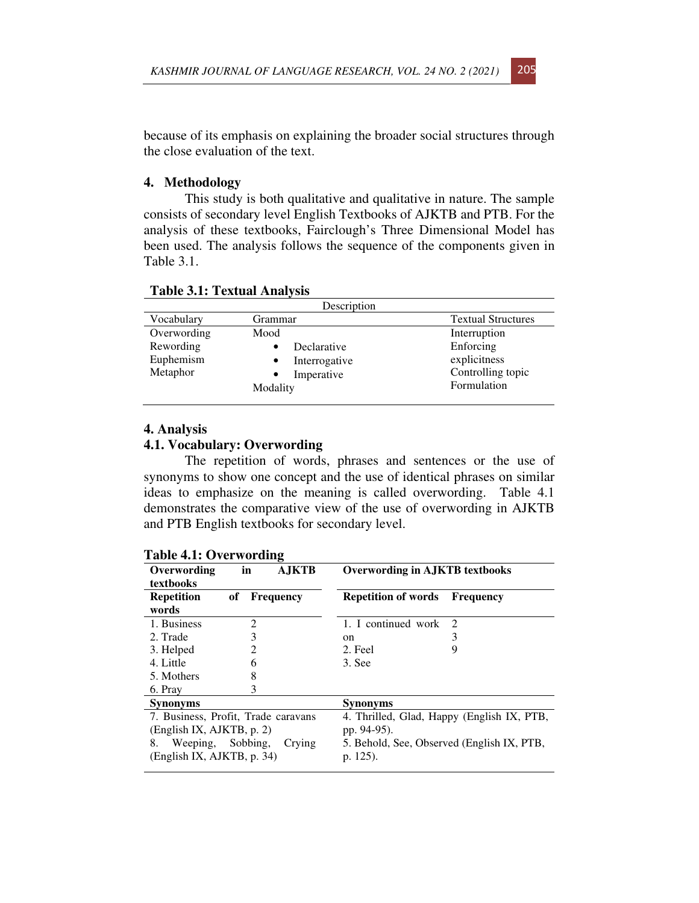because of its emphasis on explaining the broader social structures through the close evaluation of the text.

## **4. Methodology**

This study is both qualitative and qualitative in nature. The sample consists of secondary level English Textbooks of AJKTB and PTB. For the analysis of these textbooks, Fairclough's Three Dimensional Model has been used. The analysis follows the sequence of the components given in Table 3.1.

|             | Description   |                           |
|-------------|---------------|---------------------------|
| Vocabulary  | Grammar       | <b>Textual Structures</b> |
| Overwording | Mood          | Interruption              |
| Rewording   | Declarative   | Enforcing                 |
| Euphemism   | Interrogative | explicitness              |
| Metaphor    | Imperative    | Controlling topic         |
|             | Modality      | Formulation               |

**Table 3.1: Textual Analysis** 

## **4. Analysis**

# **4.1. Vocabulary: Overwording**

The repetition of words, phrases and sentences or the use of synonyms to show one concept and the use of identical phrases on similar ideas to emphasize on the meaning is called overwording. Table 4.1 demonstrates the comparative view of the use of overwording in AJKTB and PTB English textbooks for secondary level.

| L'ADIC 4.1. OVEI WOLUING            |    |                  |                                            |                                            |
|-------------------------------------|----|------------------|--------------------------------------------|--------------------------------------------|
| Overwording<br>textbooks            | in | <b>AJKTB</b>     | <b>Overwording in AJKTB textbooks</b>      |                                            |
| <b>Repetition</b>                   | of | <b>Frequency</b> | <b>Repetition of words</b>                 | <b>Frequency</b>                           |
| words                               |    |                  |                                            |                                            |
| 1. Business                         | 2  |                  | 1. I continued work                        | 2                                          |
| 2. Trade                            | 3  |                  | on                                         | 3                                          |
| 3. Helped                           | 2  |                  | 2. Feel                                    | 9                                          |
| 4. Little                           | 6  |                  | 3. See                                     |                                            |
| 5. Mothers                          | 8  |                  |                                            |                                            |
| 6. Pray                             | 3  |                  |                                            |                                            |
| <b>Synonyms</b>                     |    |                  | <b>Synonyms</b>                            |                                            |
| 7. Business, Profit, Trade caravans |    |                  |                                            | 4. Thrilled, Glad, Happy (English IX, PTB, |
| (English IX, AJKTB, p. 2)           |    |                  | pp. 94-95).                                |                                            |
| Weeping, Sobbing,<br>8.             |    | Crying           | 5. Behold, See, Observed (English IX, PTB, |                                            |
| (English IX, AJKTB, p. 34)          |    |                  | p. 125).                                   |                                            |
|                                     |    |                  |                                            |                                            |

# **Table 4.1: Overwording**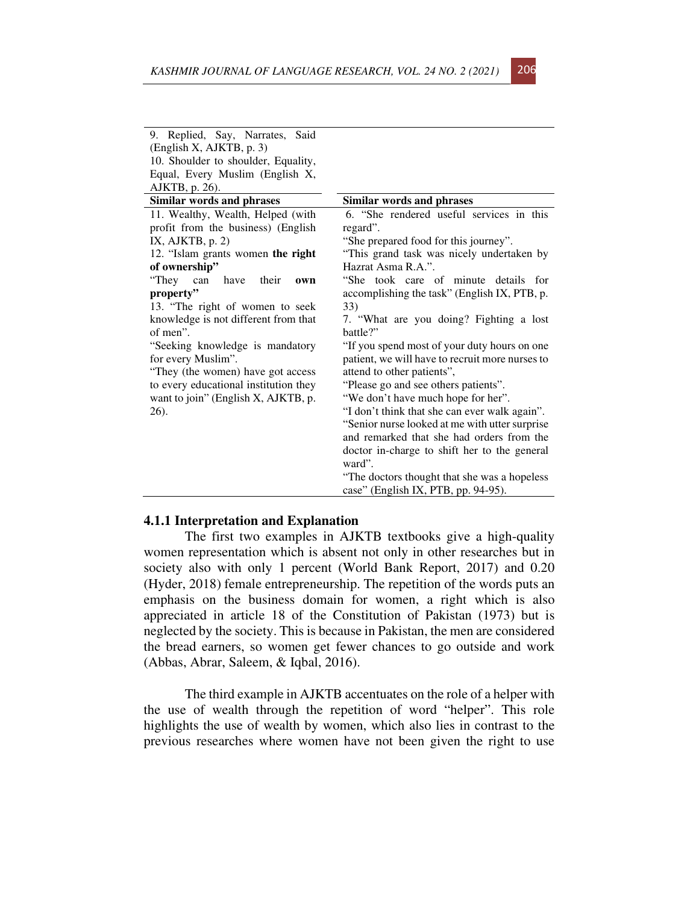| 9. Replied, Say, Narrates, Said       |                                                 |
|---------------------------------------|-------------------------------------------------|
| (English X, AJKTB, p. 3)              |                                                 |
| 10. Shoulder to shoulder, Equality,   |                                                 |
| Equal, Every Muslim (English X,       |                                                 |
| AJKTB, p. 26).                        |                                                 |
| <b>Similar words and phrases</b>      | Similar words and phrases                       |
| 11. Wealthy, Wealth, Helped (with     | 6. "She rendered useful services in this        |
| profit from the business) (English    | regard".                                        |
| IX, AJKTB, $p. 2$ )                   | "She prepared food for this journey".           |
| 12. "Islam grants women the right     | "This grand task was nicely undertaken by       |
| of ownership"                         | Hazrat Asma R.A.".                              |
| "They<br>have<br>can<br>their<br>own  | "She took care of minute details for            |
| property"                             | accomplishing the task" (English IX, PTB, p.    |
| 13. "The right of women to seek       | 33)                                             |
| knowledge is not different from that  | 7. "What are you doing? Fighting a lost         |
| of men".                              | battle?"                                        |
| "Seeking knowledge is mandatory       | "If you spend most of your duty hours on one    |
| for every Muslim".                    | patient, we will have to recruit more nurses to |
| "They (the women) have got access     | attend to other patients",                      |
| to every educational institution they | "Please go and see others patients".            |
| want to join" (English X, AJKTB, p.   | "We don't have much hope for her".              |
| 26).                                  | "I don't think that she can ever walk again".   |
|                                       | "Senior nurse looked at me with utter surprise" |
|                                       | and remarked that she had orders from the       |
|                                       | doctor in-charge to shift her to the general    |
|                                       | ward".                                          |
|                                       | "The doctors thought that she was a hopeless"   |
|                                       | case" (English IX, PTB, pp. 94-95).             |

#### **4.1.1 Interpretation and Explanation**

The first two examples in AJKTB textbooks give a high-quality women representation which is absent not only in other researches but in society also with only 1 percent (World Bank Report, 2017) and 0.20 (Hyder, 2018) female entrepreneurship. The repetition of the words puts an emphasis on the business domain for women, a right which is also appreciated in article 18 of the Constitution of Pakistan (1973) but is neglected by the society. This is because in Pakistan, the men are considered the bread earners, so women get fewer chances to go outside and work (Abbas, Abrar, Saleem, & Iqbal, 2016).

The third example in AJKTB accentuates on the role of a helper with the use of wealth through the repetition of word "helper". This role highlights the use of wealth by women, which also lies in contrast to the previous researches where women have not been given the right to use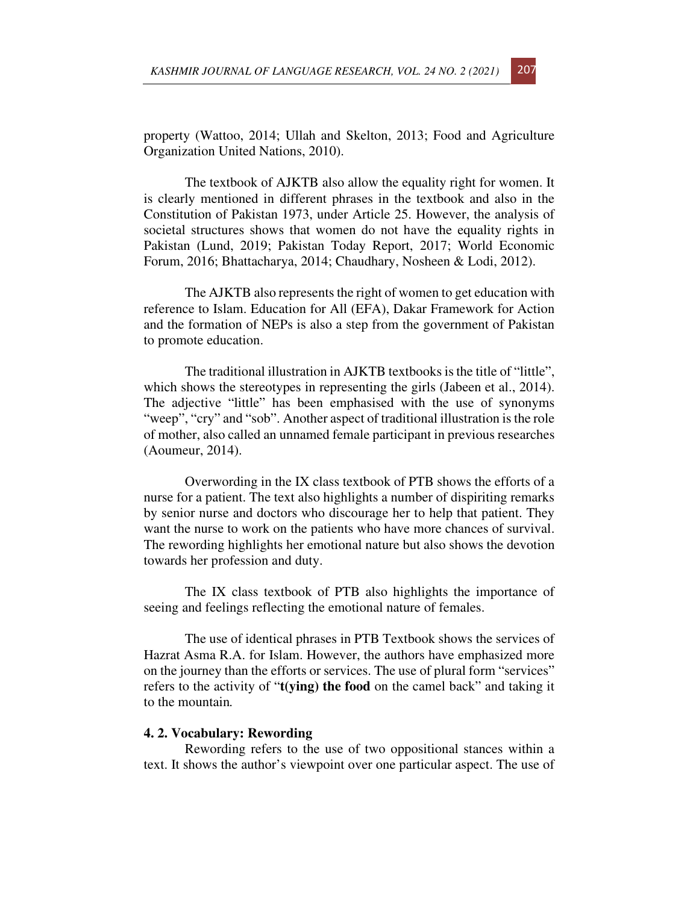property (Wattoo, 2014; Ullah and Skelton, 2013; Food and Agriculture Organization United Nations, 2010).

The textbook of AJKTB also allow the equality right for women. It is clearly mentioned in different phrases in the textbook and also in the Constitution of Pakistan 1973, under Article 25. However, the analysis of societal structures shows that women do not have the equality rights in Pakistan (Lund, 2019; Pakistan Today Report, 2017; World Economic Forum, 2016; Bhattacharya, 2014; Chaudhary, Nosheen & Lodi, 2012).

The AJKTB also represents the right of women to get education with reference to Islam. Education for All (EFA), Dakar Framework for Action and the formation of NEPs is also a step from the government of Pakistan to promote education.

The traditional illustration in AJKTB textbooks is the title of "little", which shows the stereotypes in representing the girls (Jabeen et al., 2014). The adjective "little" has been emphasised with the use of synonyms "weep", "cry" and "sob". Another aspect of traditional illustration is the role of mother, also called an unnamed female participant in previous researches (Aoumeur, 2014).

Overwording in the IX class textbook of PTB shows the efforts of a nurse for a patient. The text also highlights a number of dispiriting remarks by senior nurse and doctors who discourage her to help that patient. They want the nurse to work on the patients who have more chances of survival. The rewording highlights her emotional nature but also shows the devotion towards her profession and duty.

The IX class textbook of PTB also highlights the importance of seeing and feelings reflecting the emotional nature of females.

The use of identical phrases in PTB Textbook shows the services of Hazrat Asma R.A. for Islam. However, the authors have emphasized more on the journey than the efforts or services. The use of plural form "services" refers to the activity of "**t(ying) the food** on the camel back" and taking it to the mountain*.* 

#### **4. 2. Vocabulary: Rewording**

Rewording refers to the use of two oppositional stances within a text. It shows the author's viewpoint over one particular aspect. The use of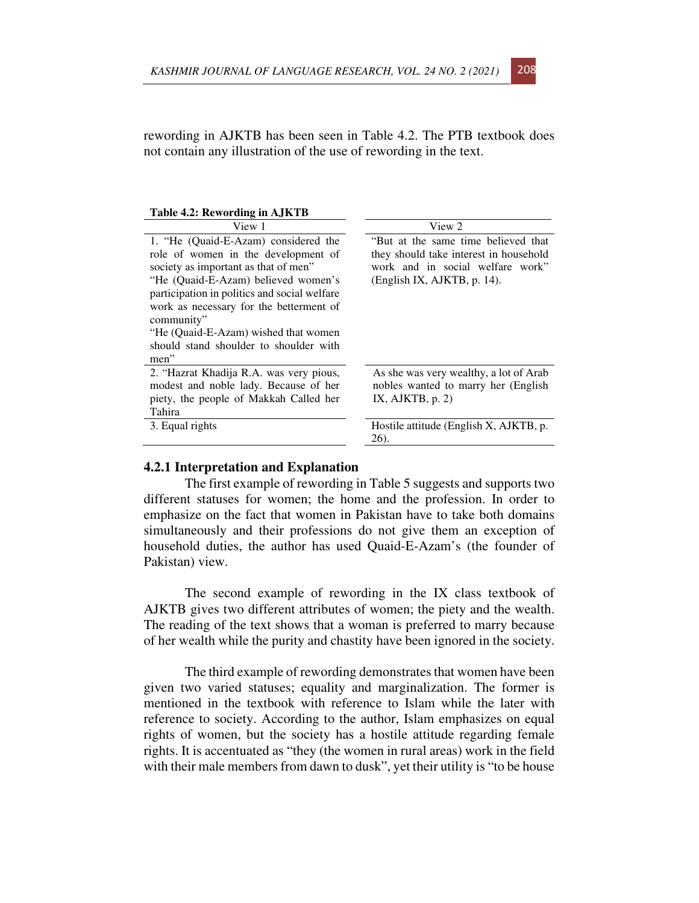rewording in AJKTB has been seen in Table 4.2. The PTB textbook does not contain any illustration of the use of rewording in the text.

| Table 4.2: Rewording in AJKTB                                                                                                                                                                                                                                                                                                                                 |                                                                                                                                                  |
|---------------------------------------------------------------------------------------------------------------------------------------------------------------------------------------------------------------------------------------------------------------------------------------------------------------------------------------------------------------|--------------------------------------------------------------------------------------------------------------------------------------------------|
| View 1                                                                                                                                                                                                                                                                                                                                                        | View 2                                                                                                                                           |
| 1. "He (Quaid-E-Azam) considered the<br>role of women in the development of<br>society as important as that of men"<br>"He (Quaid-E-Azam) believed women's<br>participation in politics and social welfare<br>work as necessary for the betterment of<br>community"<br>"He (Quaid-E-Azam) wished that women<br>should stand shoulder to shoulder with<br>men" | "But at the same time believed that<br>they should take interest in household<br>work and in social welfare work"<br>(English IX, AJKTB, p. 14). |
| 2. "Hazrat Khadija R.A. was very pious,<br>modest and noble lady. Because of her<br>piety, the people of Makkah Called her<br>Tahira                                                                                                                                                                                                                          | As she was very wealthy, a lot of Arab<br>nobles wanted to marry her (English<br>IX, AJKTB, $p. 2$ )                                             |
| 3. Equal rights                                                                                                                                                                                                                                                                                                                                               | Hostile attitude (English X, AJKTB, p.<br>26).                                                                                                   |

#### **4.2.1 Interpretation and Explanation**

The first example of rewording in Table 5 suggests and supports two different statuses for women; the home and the profession. In order to emphasize on the fact that women in Pakistan have to take both domains simultaneously and their professions do not give them an exception of household duties, the author has used Quaid-E-Azam's (the founder of Pakistan) view.

The second example of rewording in the IX class textbook of AJKTB gives two different attributes of women; the piety and the wealth. The reading of the text shows that a woman is preferred to marry because of her wealth while the purity and chastity have been ignored in the society.

The third example of rewording demonstrates that women have been given two varied statuses; equality and marginalization. The former is mentioned in the textbook with reference to Islam while the later with reference to society. According to the author, Islam emphasizes on equal rights of women, but the society has a hostile attitude regarding female rights. It is accentuated as "they (the women in rural areas) work in the field with their male members from dawn to dusk", yet their utility is "to be house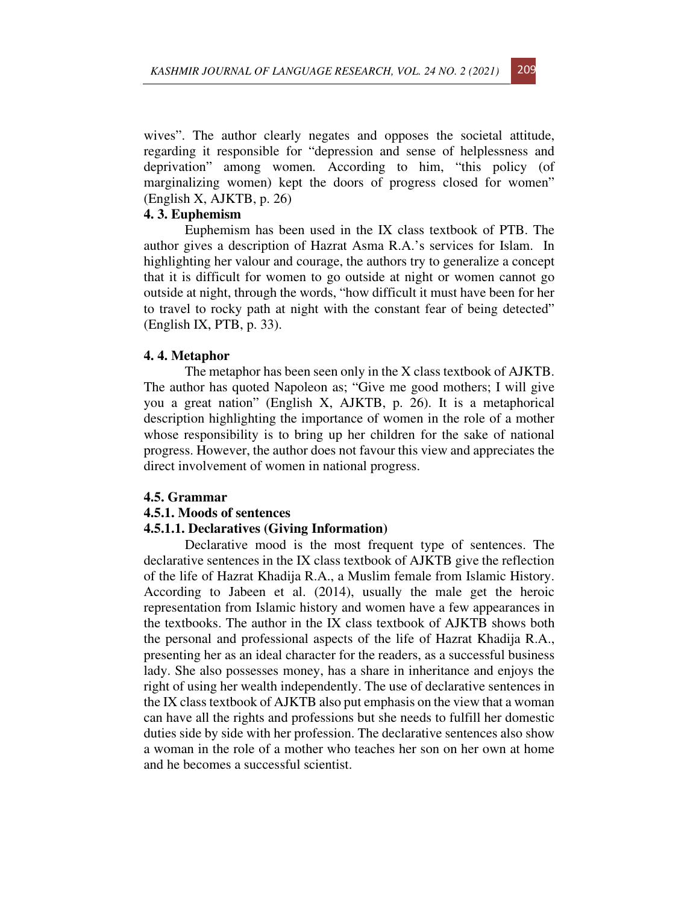wives". The author clearly negates and opposes the societal attitude, regarding it responsible for "depression and sense of helplessness and deprivation" among women*.* According to him, "this policy (of marginalizing women) kept the doors of progress closed for women" (English X, AJKTB, p. 26)

## **4. 3. Euphemism**

Euphemism has been used in the IX class textbook of PTB. The author gives a description of Hazrat Asma R.A.'s services for Islam. In highlighting her valour and courage, the authors try to generalize a concept that it is difficult for women to go outside at night or women cannot go outside at night, through the words, "how difficult it must have been for her to travel to rocky path at night with the constant fear of being detected" (English IX, PTB, p. 33).

#### **4. 4. Metaphor**

The metaphor has been seen only in the X class textbook of AJKTB. The author has quoted Napoleon as; "Give me good mothers; I will give you a great nation" (English X, AJKTB, p. 26). It is a metaphorical description highlighting the importance of women in the role of a mother whose responsibility is to bring up her children for the sake of national progress. However, the author does not favour this view and appreciates the direct involvement of women in national progress.

#### **4.5. Grammar**

#### **4.5.1. Moods of sentences**

#### **4.5.1.1. Declaratives (Giving Information)**

Declarative mood is the most frequent type of sentences. The declarative sentences in the IX class textbook of AJKTB give the reflection of the life of Hazrat Khadija R.A., a Muslim female from Islamic History. According to Jabeen et al. (2014), usually the male get the heroic representation from Islamic history and women have a few appearances in the textbooks. The author in the IX class textbook of AJKTB shows both the personal and professional aspects of the life of Hazrat Khadija R.A., presenting her as an ideal character for the readers, as a successful business lady. She also possesses money, has a share in inheritance and enjoys the right of using her wealth independently. The use of declarative sentences in the IX class textbook of AJKTB also put emphasis on the view that a woman can have all the rights and professions but she needs to fulfill her domestic duties side by side with her profession. The declarative sentences also show a woman in the role of a mother who teaches her son on her own at home and he becomes a successful scientist.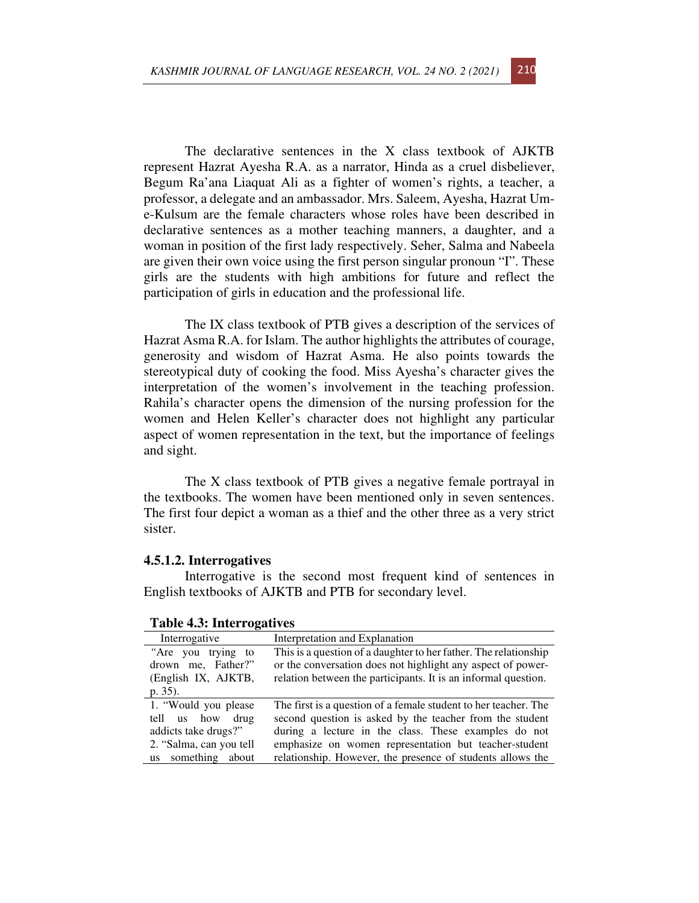The declarative sentences in the X class textbook of AJKTB represent Hazrat Ayesha R.A. as a narrator, Hinda as a cruel disbeliever, Begum Ra'ana Liaquat Ali as a fighter of women's rights, a teacher, a professor, a delegate and an ambassador. Mrs. Saleem, Ayesha, Hazrat Ume-Kulsum are the female characters whose roles have been described in declarative sentences as a mother teaching manners, a daughter, and a woman in position of the first lady respectively. Seher, Salma and Nabeela are given their own voice using the first person singular pronoun "I". These girls are the students with high ambitions for future and reflect the participation of girls in education and the professional life.

The IX class textbook of PTB gives a description of the services of Hazrat Asma R.A. for Islam. The author highlights the attributes of courage, generosity and wisdom of Hazrat Asma. He also points towards the stereotypical duty of cooking the food. Miss Ayesha's character gives the interpretation of the women's involvement in the teaching profession. Rahila's character opens the dimension of the nursing profession for the women and Helen Keller's character does not highlight any particular aspect of women representation in the text, but the importance of feelings and sight.

The X class textbook of PTB gives a negative female portrayal in the textbooks. The women have been mentioned only in seven sentences. The first four depict a woman as a thief and the other three as a very strict sister.

#### **4.5.1.2. Interrogatives**

Interrogative is the second most frequent kind of sentences in English textbooks of AJKTB and PTB for secondary level.

| Interrogative                                                                                                     | Interpretation and Explanation                                                                                                                                                                                                                                                                             |
|-------------------------------------------------------------------------------------------------------------------|------------------------------------------------------------------------------------------------------------------------------------------------------------------------------------------------------------------------------------------------------------------------------------------------------------|
| "Are you trying to<br>drown me, Father?"<br>(English IX, AJKTB,<br>$p. 35$ ).                                     | This is a question of a daughter to her father. The relationship<br>or the conversation does not highlight any aspect of power-<br>relation between the participants. It is an informal question.                                                                                                          |
| 1. "Would you please<br>tell us how drug<br>addicts take drugs?"<br>2. "Salma, can you tell<br>us something about | The first is a question of a female student to her teacher. The<br>second question is asked by the teacher from the student<br>during a lecture in the class. These examples do not<br>emphasize on women representation but teacher-student<br>relationship. However, the presence of students allows the |

**Table 4.3: Interrogatives**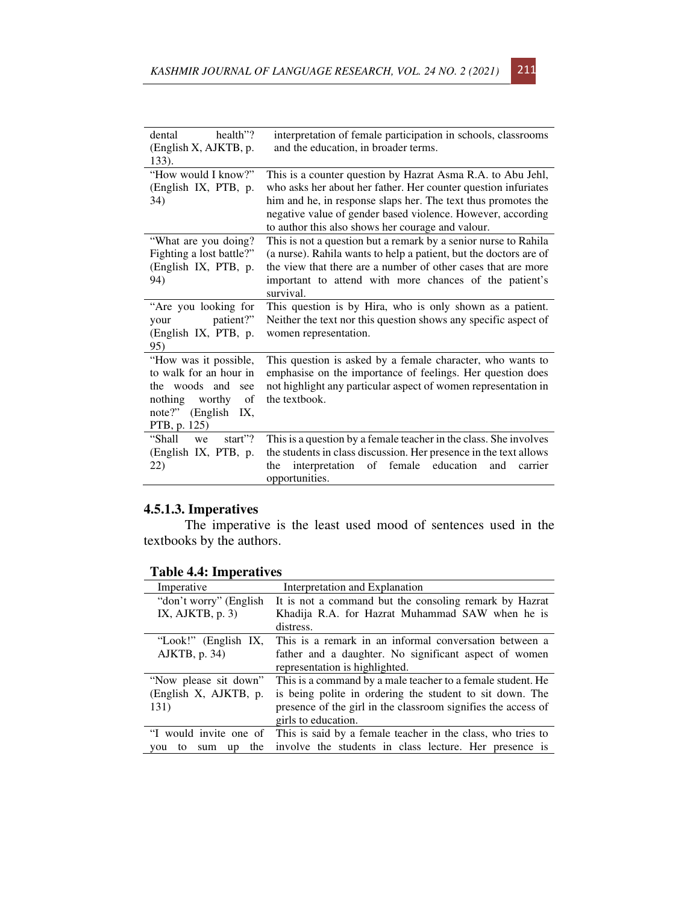| dental<br>health"?<br>(English X, AJKTB, p. | interpretation of female participation in schools, classrooms<br>and the education, in broader terms. |
|---------------------------------------------|-------------------------------------------------------------------------------------------------------|
| 133).                                       |                                                                                                       |
| "How would I know?"                         | This is a counter question by Hazrat Asma R.A. to Abu Jehl,                                           |
| (English IX, PTB, p.                        | who asks her about her father. Her counter question infuriates                                        |
| 34)                                         | him and he, in response slaps her. The text thus promotes the                                         |
|                                             | negative value of gender based violence. However, according                                           |
|                                             | to author this also shows her courage and valour.                                                     |
| "What are you doing?                        | This is not a question but a remark by a senior nurse to Rahila                                       |
| Fighting a lost battle?"                    | (a nurse). Rahila wants to help a patient, but the doctors are of                                     |
| (English IX, PTB, p.                        | the view that there are a number of other cases that are more                                         |
| 94)                                         | important to attend with more chances of the patient's                                                |
|                                             | survival.                                                                                             |
| "Are you looking for                        | This question is by Hira, who is only shown as a patient.                                             |
| patient?"<br>your                           | Neither the text nor this question shows any specific aspect of                                       |
| (English IX, PTB, p.                        | women representation.                                                                                 |
| 95)                                         |                                                                                                       |
| "How was it possible,                       | This question is asked by a female character, who wants to                                            |
| to walk for an hour in                      | emphasise on the importance of feelings. Her question does                                            |
| the woods and<br>see                        | not highlight any particular aspect of women representation in                                        |
| nothing<br>worthy<br>of                     | the textbook.                                                                                         |
| note?"<br>(English)<br>IX.                  |                                                                                                       |
| PTB, p. 125)                                |                                                                                                       |
| "Shall<br>start $"$ ?<br>we                 | This is a question by a female teacher in the class. She involves                                     |
| (English IX, PTB, p.                        | the students in class discussion. Her presence in the text allows                                     |
| 22)                                         | interpretation<br>female<br>education<br>the<br>of<br>and<br>carrier                                  |
|                                             | opportunities.                                                                                        |

# **4.5.1.3. Imperatives**

The imperative is the least used mood of sentences used in the textbooks by the authors.

| <b>Table 4.4: Imperatives</b> |
|-------------------------------|

| Imperative                    | Interpretation and Explanation                                |
|-------------------------------|---------------------------------------------------------------|
| "don't worry" (English        | It is not a command but the consoling remark by Hazrat        |
| IX, AJKTB, $p. 3$ )           | Khadija R.A. for Hazrat Muhammad SAW when he is               |
|                               | distress.                                                     |
| "Look!" (English IX,          | This is a remark in an informal conversation between a        |
| $AIKTB$ , p. 34)              | father and a daughter. No significant aspect of women         |
|                               | representation is highlighted.                                |
| "Now please sit down"         | This is a command by a male teacher to a female student. He   |
| (English X, AJKTB, p.         | is being polite in ordering the student to sit down. The      |
| 131)                          | presence of the girl in the classroom signifies the access of |
|                               | girls to education.                                           |
| "I would invite one of        | This is said by a female teacher in the class, who tries to   |
| the<br>sum<br>up<br>tο<br>vou | involve the students in class lecture. Her presence is        |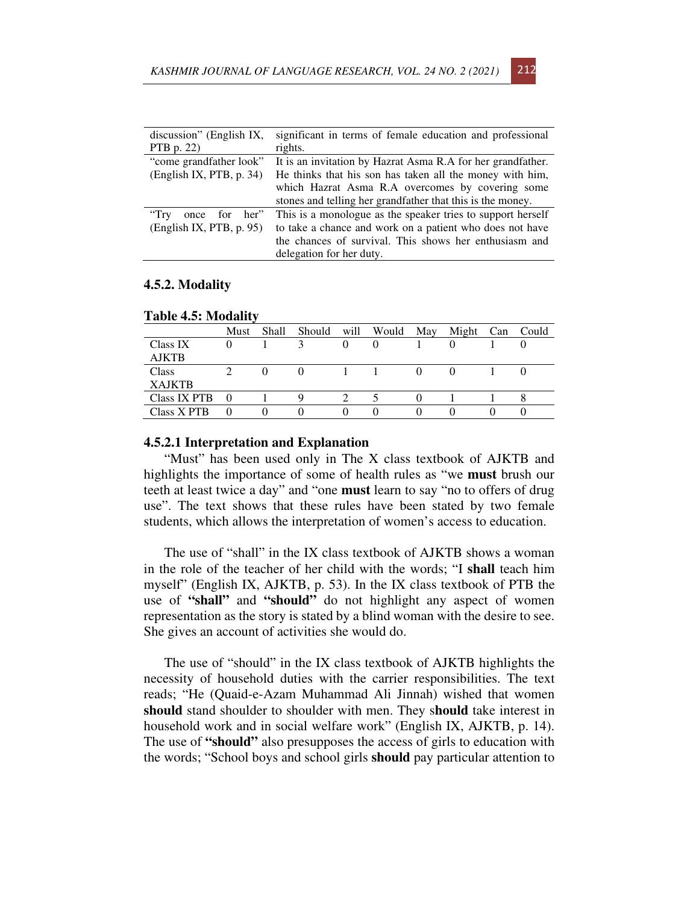| discussion" (English IX,      | significant in terms of female education and professional   |
|-------------------------------|-------------------------------------------------------------|
| PTB $p. 22$                   | rights.                                                     |
| "come grandfather look"       | It is an invitation by Hazrat Asma R.A for her grandfather. |
| (English IX, PTB, p. 34)      | He thinks that his son has taken all the money with him,    |
|                               | which Hazrat Asma R.A overcomes by covering some            |
|                               | stones and telling her grandfather that this is the money.  |
| once for her"<br>$\rm{``Try}$ | This is a monologue as the speaker tries to support herself |
| (English IX, PTB, p. 95)      | to take a chance and work on a patient who does not have    |
|                               | the chances of survival. This shows her enthusiasm and      |
|                               | delegation for her duty.                                    |

## **4.5.2. Modality**

|                     | Must     | Shall | Should | will     | Would    | May | Might | Can | Could |
|---------------------|----------|-------|--------|----------|----------|-----|-------|-----|-------|
| Class IX            | $\theta$ |       |        | $\Omega$ | $\theta$ |     |       |     |       |
| <b>AJKTB</b>        |          |       |        |          |          |     |       |     |       |
| Class               |          |       |        |          |          |     |       |     |       |
| <b>XAJKTB</b>       |          |       |        |          |          |     |       |     |       |
| <b>Class IX PTB</b> | $\theta$ |       | Q      |          |          |     |       |     |       |
| Class X PTB         |          |       |        |          |          |     |       |     |       |

#### **Table 4.5: Modality**

#### **4.5.2.1 Interpretation and Explanation**

"Must" has been used only in The X class textbook of AJKTB and highlights the importance of some of health rules as "we **must** brush our teeth at least twice a day" and "one **must** learn to say "no to offers of drug use". The text shows that these rules have been stated by two female students, which allows the interpretation of women's access to education.

The use of "shall" in the IX class textbook of AJKTB shows a woman in the role of the teacher of her child with the words; "I **shall** teach him myself" (English IX, AJKTB, p. 53). In the IX class textbook of PTB the use of **"shall"** and **"should"** do not highlight any aspect of women representation as the story is stated by a blind woman with the desire to see. She gives an account of activities she would do.

The use of "should" in the IX class textbook of AJKTB highlights the necessity of household duties with the carrier responsibilities. The text reads; "He (Quaid-e-Azam Muhammad Ali Jinnah) wished that women **should** stand shoulder to shoulder with men. They s**hould** take interest in household work and in social welfare work" (English IX, AJKTB, p. 14). The use of **"should"** also presupposes the access of girls to education with the words; "School boys and school girls **should** pay particular attention to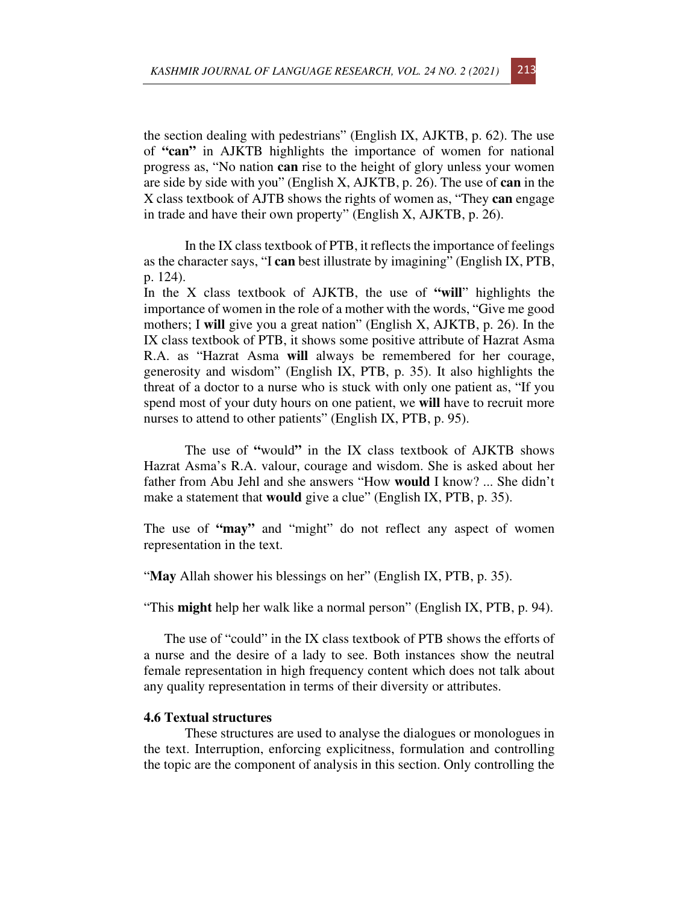the section dealing with pedestrians" (English IX, AJKTB, p. 62). The use of **"can"** in AJKTB highlights the importance of women for national progress as, "No nation **can** rise to the height of glory unless your women are side by side with you" (English X, AJKTB, p. 26). The use of **can** in the X class textbook of AJTB shows the rights of women as, "They **can** engage in trade and have their own property" (English X, AJKTB, p. 26).

In the IX class textbook of PTB, it reflects the importance of feelings as the character says, "I **can** best illustrate by imagining" (English IX, PTB, p. 124).

In the X class textbook of AJKTB, the use of **"will**" highlights the importance of women in the role of a mother with the words, "Give me good mothers; I **will** give you a great nation" (English X, AJKTB, p. 26). In the IX class textbook of PTB, it shows some positive attribute of Hazrat Asma R.A. as "Hazrat Asma **will** always be remembered for her courage, generosity and wisdom" (English IX, PTB, p. 35). It also highlights the threat of a doctor to a nurse who is stuck with only one patient as, "If you spend most of your duty hours on one patient, we **will** have to recruit more nurses to attend to other patients" (English IX, PTB, p. 95).

The use of **"**would**"** in the IX class textbook of AJKTB shows Hazrat Asma's R.A. valour, courage and wisdom. She is asked about her father from Abu Jehl and she answers "How **would** I know? ... She didn't make a statement that **would** give a clue" (English IX, PTB, p. 35).

The use of **"may"** and "might" do not reflect any aspect of women representation in the text.

"May Allah shower his blessings on her" (English IX, PTB, p. 35).

"This **might** help her walk like a normal person" (English IX, PTB, p. 94).

The use of "could" in the IX class textbook of PTB shows the efforts of a nurse and the desire of a lady to see. Both instances show the neutral female representation in high frequency content which does not talk about any quality representation in terms of their diversity or attributes.

## **4.6 Textual structures**

These structures are used to analyse the dialogues or monologues in the text. Interruption, enforcing explicitness, formulation and controlling the topic are the component of analysis in this section. Only controlling the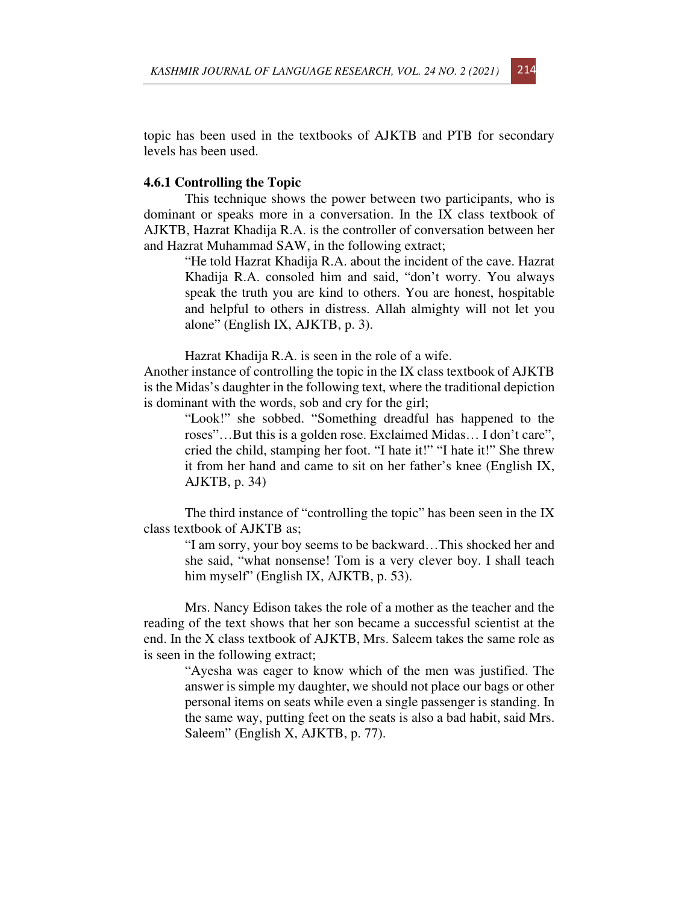topic has been used in the textbooks of AJKTB and PTB for secondary levels has been used.

#### **4.6.1 Controlling the Topic**

This technique shows the power between two participants, who is dominant or speaks more in a conversation. In the IX class textbook of AJKTB, Hazrat Khadija R.A. is the controller of conversation between her and Hazrat Muhammad SAW, in the following extract;

"He told Hazrat Khadija R.A. about the incident of the cave. Hazrat Khadija R.A. consoled him and said, "don't worry. You always speak the truth you are kind to others. You are honest, hospitable and helpful to others in distress. Allah almighty will not let you alone" (English IX, AJKTB, p. 3).

Hazrat Khadija R.A. is seen in the role of a wife.

Another instance of controlling the topic in the IX class textbook of AJKTB is the Midas's daughter in the following text, where the traditional depiction is dominant with the words, sob and cry for the girl;

"Look!" she sobbed. "Something dreadful has happened to the roses"…But this is a golden rose. Exclaimed Midas… I don't care", cried the child, stamping her foot. "I hate it!" "I hate it!" She threw it from her hand and came to sit on her father's knee (English IX, AJKTB, p. 34)

The third instance of "controlling the topic" has been seen in the IX class textbook of AJKTB as;

> "I am sorry, your boy seems to be backward…This shocked her and she said, "what nonsense! Tom is a very clever boy. I shall teach him myself" (English IX, AJKTB, p. 53).

Mrs. Nancy Edison takes the role of a mother as the teacher and the reading of the text shows that her son became a successful scientist at the end. In the X class textbook of AJKTB, Mrs. Saleem takes the same role as is seen in the following extract;

> "Ayesha was eager to know which of the men was justified. The answer is simple my daughter, we should not place our bags or other personal items on seats while even a single passenger is standing. In the same way, putting feet on the seats is also a bad habit, said Mrs. Saleem" (English X, AJKTB, p. 77).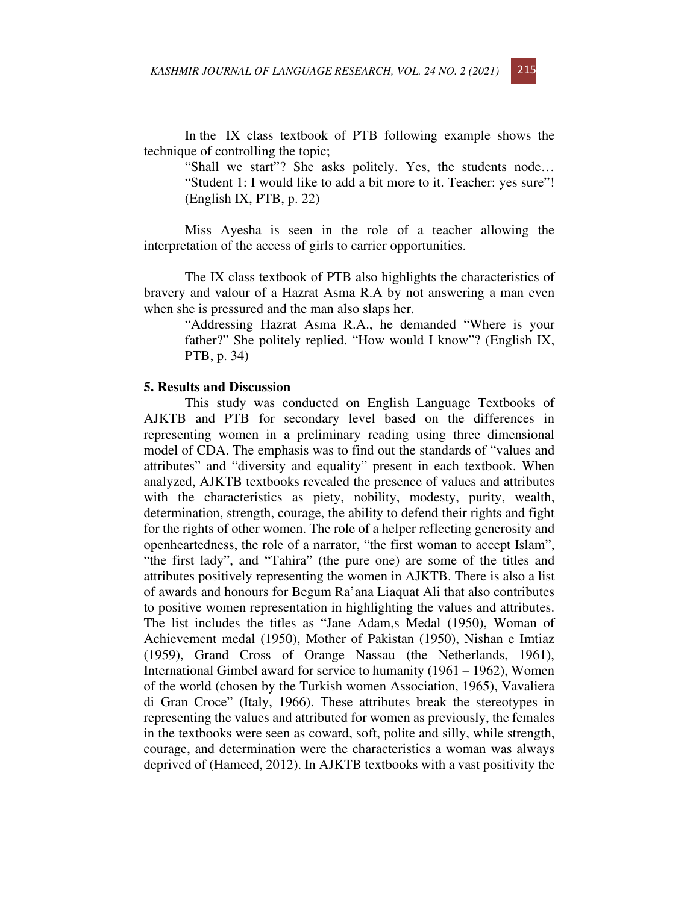In the IX class textbook of PTB following example shows the technique of controlling the topic;

"Shall we start"? She asks politely. Yes, the students node… "Student 1: I would like to add a bit more to it. Teacher: yes sure"! (English IX, PTB, p. 22)

Miss Ayesha is seen in the role of a teacher allowing the interpretation of the access of girls to carrier opportunities.

The IX class textbook of PTB also highlights the characteristics of bravery and valour of a Hazrat Asma R.A by not answering a man even when she is pressured and the man also slaps her.

"Addressing Hazrat Asma R.A., he demanded "Where is your father?" She politely replied. "How would I know"? (English IX, PTB, p. 34)

#### **5. Results and Discussion**

This study was conducted on English Language Textbooks of AJKTB and PTB for secondary level based on the differences in representing women in a preliminary reading using three dimensional model of CDA. The emphasis was to find out the standards of "values and attributes" and "diversity and equality" present in each textbook. When analyzed, AJKTB textbooks revealed the presence of values and attributes with the characteristics as piety, nobility, modesty, purity, wealth, determination, strength, courage, the ability to defend their rights and fight for the rights of other women. The role of a helper reflecting generosity and openheartedness, the role of a narrator, "the first woman to accept Islam", "the first lady", and "Tahira" (the pure one) are some of the titles and attributes positively representing the women in AJKTB. There is also a list of awards and honours for Begum Ra'ana Liaquat Ali that also contributes to positive women representation in highlighting the values and attributes. The list includes the titles as "Jane Adam,s Medal (1950), Woman of Achievement medal (1950), Mother of Pakistan (1950), Nishan e Imtiaz (1959), Grand Cross of Orange Nassau (the Netherlands, 1961), International Gimbel award for service to humanity (1961 – 1962), Women of the world (chosen by the Turkish women Association, 1965), Vavaliera di Gran Croce" (Italy, 1966). These attributes break the stereotypes in representing the values and attributed for women as previously, the females in the textbooks were seen as coward, soft, polite and silly, while strength, courage, and determination were the characteristics a woman was always deprived of (Hameed, 2012). In AJKTB textbooks with a vast positivity the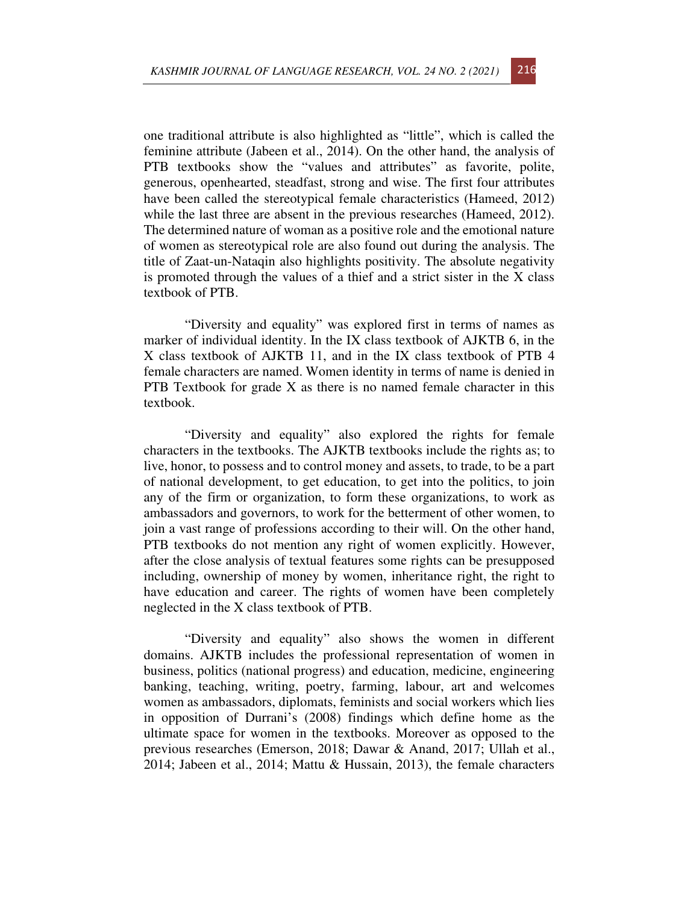one traditional attribute is also highlighted as "little", which is called the feminine attribute (Jabeen et al., 2014). On the other hand, the analysis of PTB textbooks show the "values and attributes" as favorite, polite, generous, openhearted, steadfast, strong and wise. The first four attributes have been called the stereotypical female characteristics (Hameed, 2012) while the last three are absent in the previous researches (Hameed, 2012). The determined nature of woman as a positive role and the emotional nature of women as stereotypical role are also found out during the analysis. The title of Zaat-un-Nataqin also highlights positivity. The absolute negativity is promoted through the values of a thief and a strict sister in the X class textbook of PTB.

"Diversity and equality" was explored first in terms of names as marker of individual identity. In the IX class textbook of AJKTB 6, in the X class textbook of AJKTB 11, and in the IX class textbook of PTB 4 female characters are named. Women identity in terms of name is denied in PTB Textbook for grade X as there is no named female character in this textbook.

"Diversity and equality" also explored the rights for female characters in the textbooks. The AJKTB textbooks include the rights as; to live, honor, to possess and to control money and assets, to trade, to be a part of national development, to get education, to get into the politics, to join any of the firm or organization, to form these organizations, to work as ambassadors and governors, to work for the betterment of other women, to join a vast range of professions according to their will. On the other hand, PTB textbooks do not mention any right of women explicitly. However, after the close analysis of textual features some rights can be presupposed including, ownership of money by women, inheritance right, the right to have education and career. The rights of women have been completely neglected in the X class textbook of PTB.

"Diversity and equality" also shows the women in different domains. AJKTB includes the professional representation of women in business, politics (national progress) and education, medicine, engineering banking, teaching, writing, poetry, farming, labour, art and welcomes women as ambassadors, diplomats, feminists and social workers which lies in opposition of Durrani's (2008) findings which define home as the ultimate space for women in the textbooks. Moreover as opposed to the previous researches (Emerson, 2018; Dawar & Anand, 2017; Ullah et al., 2014; Jabeen et al., 2014; Mattu & Hussain, 2013), the female characters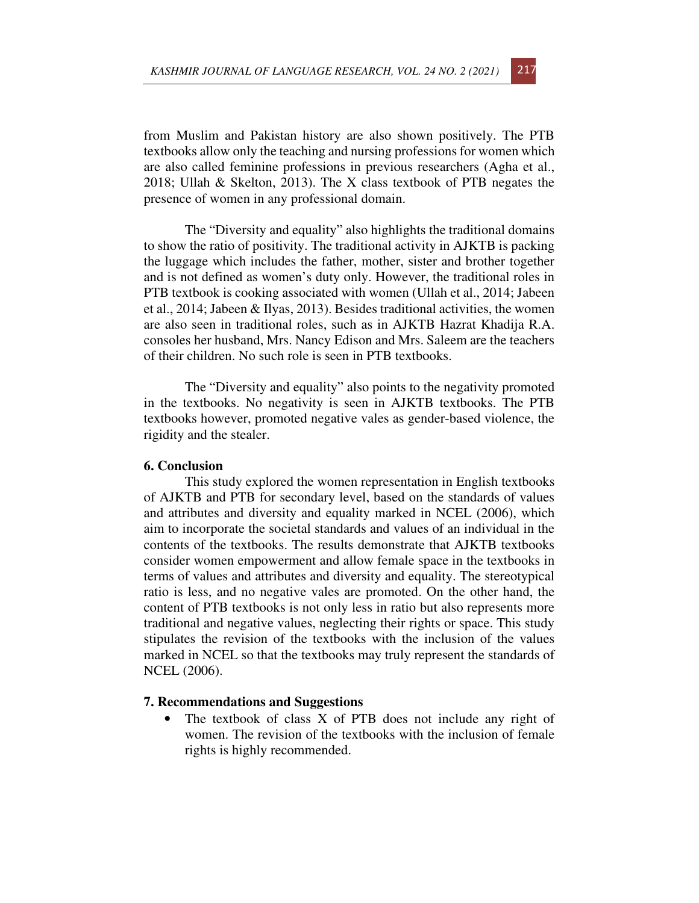from Muslim and Pakistan history are also shown positively. The PTB textbooks allow only the teaching and nursing professions for women which are also called feminine professions in previous researchers (Agha et al., 2018; Ullah & Skelton, 2013). The X class textbook of PTB negates the presence of women in any professional domain.

The "Diversity and equality" also highlights the traditional domains to show the ratio of positivity. The traditional activity in AJKTB is packing the luggage which includes the father, mother, sister and brother together and is not defined as women's duty only. However, the traditional roles in PTB textbook is cooking associated with women (Ullah et al., 2014; Jabeen et al., 2014; Jabeen & Ilyas, 2013). Besides traditional activities, the women are also seen in traditional roles, such as in AJKTB Hazrat Khadija R.A. consoles her husband, Mrs. Nancy Edison and Mrs. Saleem are the teachers of their children. No such role is seen in PTB textbooks.

The "Diversity and equality" also points to the negativity promoted in the textbooks. No negativity is seen in AJKTB textbooks. The PTB textbooks however, promoted negative vales as gender-based violence, the rigidity and the stealer.

# **6. Conclusion**

This study explored the women representation in English textbooks of AJKTB and PTB for secondary level, based on the standards of values and attributes and diversity and equality marked in NCEL (2006), which aim to incorporate the societal standards and values of an individual in the contents of the textbooks. The results demonstrate that AJKTB textbooks consider women empowerment and allow female space in the textbooks in terms of values and attributes and diversity and equality. The stereotypical ratio is less, and no negative vales are promoted. On the other hand, the content of PTB textbooks is not only less in ratio but also represents more traditional and negative values, neglecting their rights or space. This study stipulates the revision of the textbooks with the inclusion of the values marked in NCEL so that the textbooks may truly represent the standards of NCEL (2006).

## **7. Recommendations and Suggestions**

• The textbook of class X of PTB does not include any right of women. The revision of the textbooks with the inclusion of female rights is highly recommended.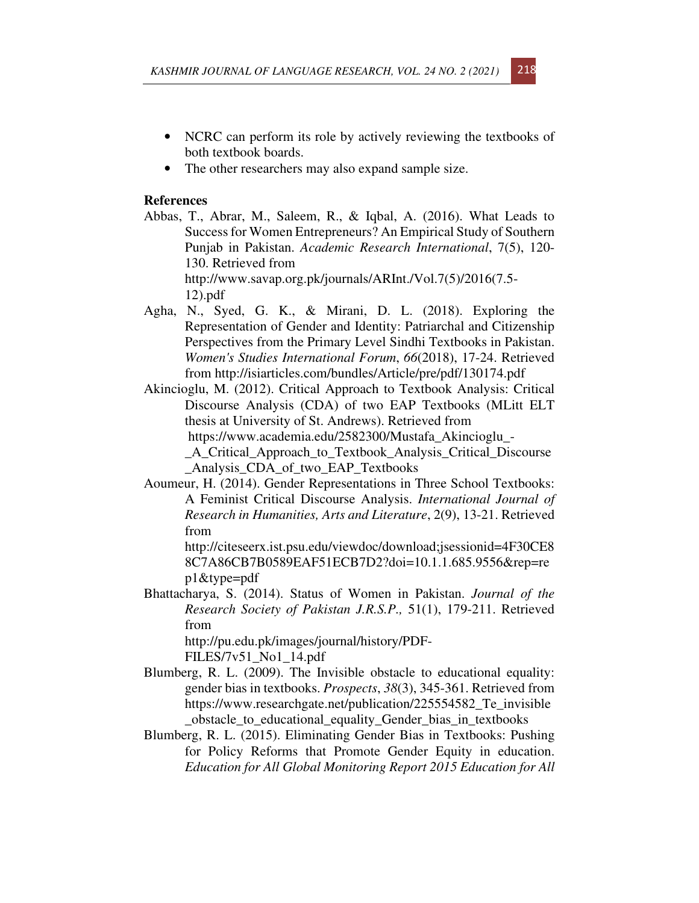- NCRC can perform its role by actively reviewing the textbooks of both textbook boards.
- The other researchers may also expand sample size.

# **References**

- Abbas, T., Abrar, M., Saleem, R., & Iqbal, A. (2016). What Leads to Success for Women Entrepreneurs? An Empirical Study of Southern Punjab in Pakistan. *Academic Research International*, 7(5), 120- 130. Retrieved from http://www.savap.org.pk/journals/ARInt./Vol.7(5)/2016(7.5- 12).pdf
- Agha, N., Syed, G. K., & Mirani, D. L. (2018). Exploring the Representation of Gender and Identity: Patriarchal and Citizenship Perspectives from the Primary Level Sindhi Textbooks in Pakistan. *Women's Studies International Forum*, *66*(2018), 17-24. Retrieved from http://isiarticles.com/bundles/Article/pre/pdf/130174.pdf
- Akincioglu, M. (2012). Critical Approach to Textbook Analysis: Critical Discourse Analysis (CDA) of two EAP Textbooks (MLitt ELT thesis at University of St. Andrews). Retrieved from https://www.academia.edu/2582300/Mustafa\_Akincioglu\_- \_A\_Critical\_Approach\_to\_Textbook\_Analysis\_Critical\_Discourse

\_Analysis\_CDA\_of\_two\_EAP\_Textbooks Aoumeur, H. (2014). Gender Representations in Three School Textbooks:

A Feminist Critical Discourse Analysis. *International Journal of Research in Humanities, Arts and Literature*, 2(9), 13-21. Retrieved from

http://citeseerx.ist.psu.edu/viewdoc/download;jsessionid=4F30CE8 8C7A86CB7B0589EAF51ECB7D2?doi=10.1.1.685.9556&rep=re p1&type=pdf

Bhattacharya, S. (2014). Status of Women in Pakistan. *Journal of the Research Society of Pakistan J.R.S.P.,* 51(1), 179-211. Retrieved from

http://pu.edu.pk/images/journal/history/PDF-FILES/7v51\_No1\_14.pdf

- Blumberg, R. L. (2009). The Invisible obstacle to educational equality: gender bias in textbooks. *Prospects*, *38*(3), 345-361. Retrieved from https://www.researchgate.net/publication/225554582\_Te\_invisible \_obstacle\_to\_educational\_equality\_Gender\_bias\_in\_textbooks
- Blumberg, R. L. (2015). Eliminating Gender Bias in Textbooks: Pushing for Policy Reforms that Promote Gender Equity in education. *Education for All Global Monitoring Report 2015 Education for All*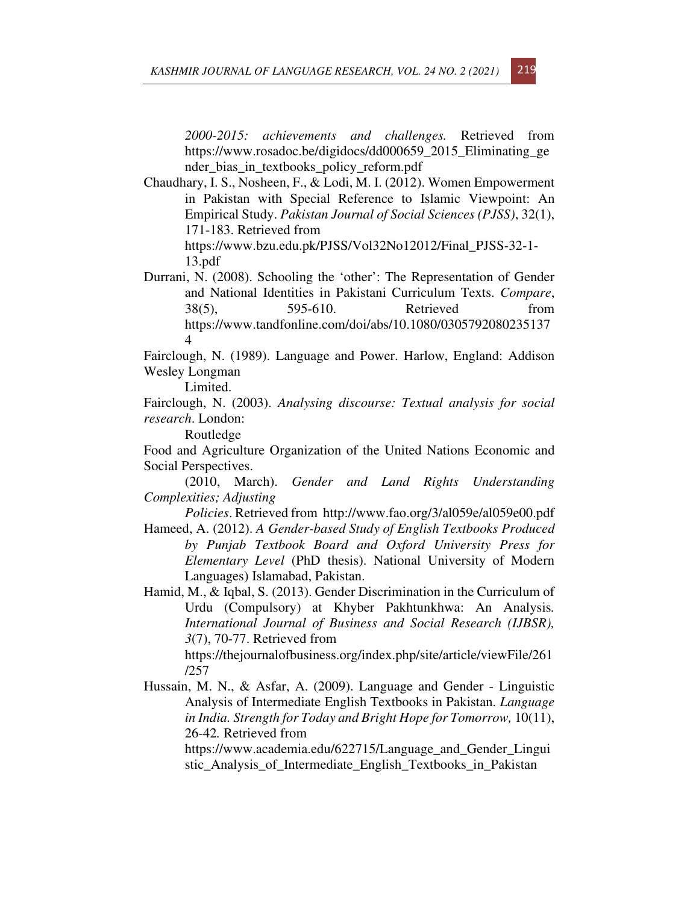*2000-2015: achievements and challenges.* Retrieved from https://www.rosadoc.be/digidocs/dd000659\_2015\_Eliminating\_ge nder\_bias\_in\_textbooks\_policy\_reform.pdf

Chaudhary, I. S., Nosheen, F., & Lodi, M. I. (2012). Women Empowerment in Pakistan with Special Reference to Islamic Viewpoint: An Empirical Study. *Pakistan Journal of Social Sciences (PJSS)*, 32(1), 171-183. Retrieved from

https://www.bzu.edu.pk/PJSS/Vol32No12012/Final\_PJSS-32-1- 13.pdf

Durrani, N. (2008). Schooling the 'other': The Representation of Gender and National Identities in Pakistani Curriculum Texts. *Compare*, 38(5), 595-610. Retrieved from https://www.tandfonline.com/doi/abs/10.1080/0305792080235137 4

Fairclough, N. (1989). Language and Power. Harlow, England: Addison Wesley Longman

Limited.

Fairclough, N. (2003). *Analysing discourse: Textual analysis for social research*. London:

Routledge

Food and Agriculture Organization of the United Nations Economic and Social Perspectives.

(2010, March). *Gender and Land Rights Understanding Complexities; Adjusting* 

*Policies*. Retrieved from http://www.fao.org/3/al059e/al059e00.pdf

Hameed, A. (2012). *A Gender-based Study of English Textbooks Produced by Punjab Textbook Board and Oxford University Press for Elementary Level* (PhD thesis). National University of Modern Languages) Islamabad, Pakistan.

Hamid, M., & Iqbal, S. (2013). Gender Discrimination in the Curriculum of Urdu (Compulsory) at Khyber Pakhtunkhwa: An Analysis*. International Journal of Business and Social Research (IJBSR), 3*(7), 70-77. Retrieved from

https://thejournalofbusiness.org/index.php/site/article/viewFile/261 /257

Hussain, M. N., & Asfar, A. (2009). Language and Gender - Linguistic Analysis of Intermediate English Textbooks in Pakistan. *Language in India. Strength for Today and Bright Hope for Tomorrow,* 10(11), 26-42*.* Retrieved from

https://www.academia.edu/622715/Language\_and\_Gender\_Lingui stic\_Analysis\_of\_Intermediate\_English\_Textbooks\_in\_Pakistan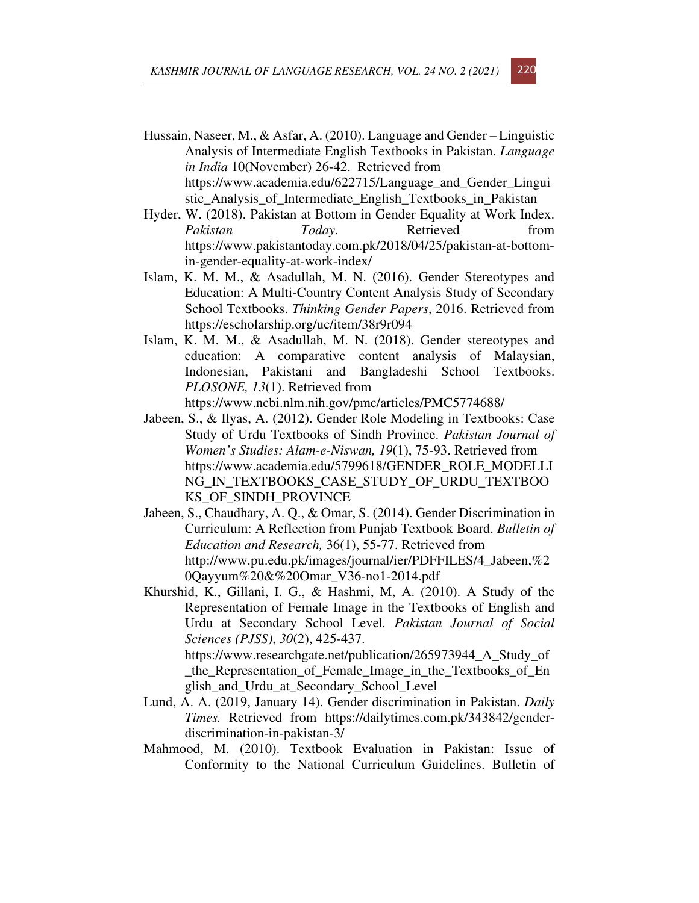- Hussain, Naseer, M., & Asfar, A. (2010). Language and Gender Linguistic Analysis of Intermediate English Textbooks in Pakistan. *Language in India* 10(November) 26-42. Retrieved from https://www.academia.edu/622715/Language\_and\_Gender\_Lingui stic\_Analysis\_of\_Intermediate\_English\_Textbooks\_in\_Pakistan
- Hyder, W. (2018). Pakistan at Bottom in Gender Equality at Work Index. *Pakistan Today*. Retrieved from https://www.pakistantoday.com.pk/2018/04/25/pakistan-at-bottomin-gender-equality-at-work-index/
- Islam, K. M. M., & Asadullah, M. N. (2016). Gender Stereotypes and Education: A Multi-Country Content Analysis Study of Secondary School Textbooks. *Thinking Gender Papers*, 2016. Retrieved from https://escholarship.org/uc/item/38r9r094
- Islam, K. M. M., & Asadullah, M. N. (2018). Gender stereotypes and education: A comparative content analysis of Malaysian, Indonesian, Pakistani and Bangladeshi School Textbooks. *PLOSONE, 13*(1). Retrieved from https://www.ncbi.nlm.nih.gov/pmc/articles/PMC5774688/
- Jabeen, S., & Ilyas, A. (2012). Gender Role Modeling in Textbooks: Case Study of Urdu Textbooks of Sindh Province. *Pakistan Journal of Women's Studies: Alam-e-Niswan, 19*(1), 75-93. Retrieved from https://www.academia.edu/5799618/GENDER\_ROLE\_MODELLI NG\_IN\_TEXTBOOKS\_CASE\_STUDY\_OF\_URDU\_TEXTBOO KS OF SINDH PROVINCE
- Jabeen, S., Chaudhary, A. Q., & Omar, S. (2014). Gender Discrimination in Curriculum: A Reflection from Punjab Textbook Board. *Bulletin of Education and Research,* 36(1), 55-77. Retrieved from http://www.pu.edu.pk/images/journal/ier/PDFFILES/4\_Jabeen,%2 0Qayyum%20&%20Omar\_V36-no1-2014.pdf
- Khurshid, K., Gillani, I. G., & Hashmi, M, A. (2010). A Study of the Representation of Female Image in the Textbooks of English and Urdu at Secondary School Level*. Pakistan Journal of Social Sciences (PJSS)*, *30*(2), 425-437. https://www.researchgate.net/publication/265973944 A Study of \_the\_Representation\_of\_Female\_Image\_in\_the\_Textbooks\_of\_En glish\_and\_Urdu\_at\_Secondary\_School\_Level
- Lund, A. A. (2019, January 14). Gender discrimination in Pakistan. *Daily Times.* Retrieved from https://dailytimes.com.pk/343842/genderdiscrimination-in-pakistan-3/
- Mahmood, M. (2010). Textbook Evaluation in Pakistan: Issue of Conformity to the National Curriculum Guidelines. Bulletin of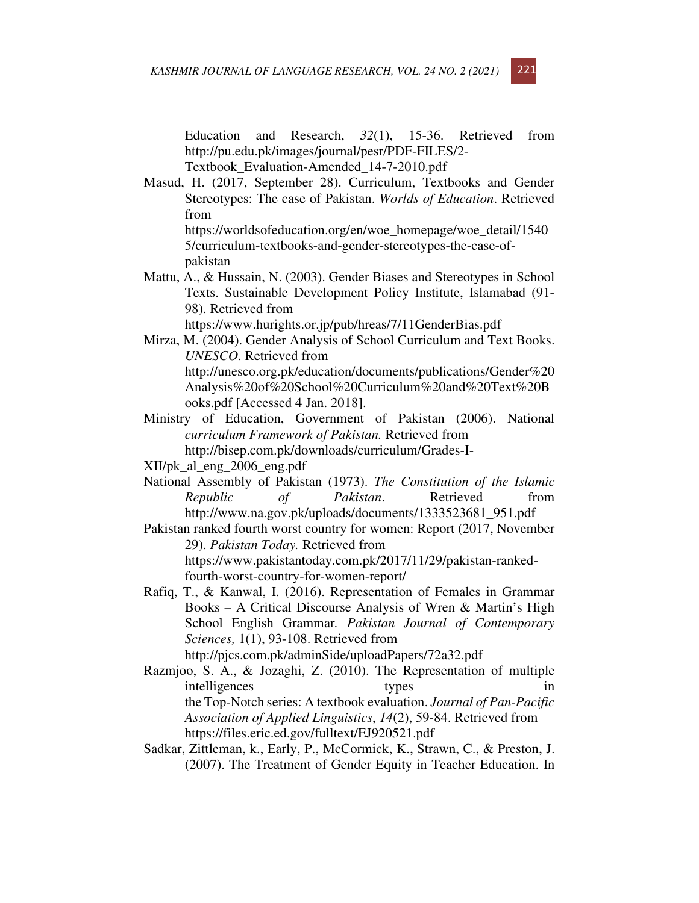Education and Research, *32*(1), 15-36. Retrieved from http://pu.edu.pk/images/journal/pesr/PDF-FILES/2- Textbook\_Evaluation-Amended\_14-7-2010.pdf

Masud, H. (2017, September 28). Curriculum, Textbooks and Gender Stereotypes: The case of Pakistan. *Worlds of Education*. Retrieved from

https://worldsofeducation.org/en/woe\_homepage/woe\_detail/1540 5/curriculum-textbooks-and-gender-stereotypes-the-case-ofpakistan

Mattu, A., & Hussain, N. (2003). Gender Biases and Stereotypes in School Texts. Sustainable Development Policy Institute, Islamabad (91- 98). Retrieved from https://www.hurights.or.jp/pub/hreas/7/11GenderBias.pdf

Mirza, M. (2004). Gender Analysis of School Curriculum and Text Books. *UNESCO*. Retrieved from http://unesco.org.pk/education/documents/publications/Gender%20

Analysis%20of%20School%20Curriculum%20and%20Text%20B ooks.pdf [Accessed 4 Jan. 2018].

Ministry of Education, Government of Pakistan (2006). National *curriculum Framework of Pakistan.* Retrieved from http://bisep.com.pk/downloads/curriculum/Grades-I-

XII/pk\_al\_eng\_2006\_eng.pdf

- National Assembly of Pakistan (1973). *The Constitution of the Islamic Republic of Pakistan*. Retrieved from http://www.na.gov.pk/uploads/documents/1333523681\_951.pdf
- Pakistan ranked fourth worst country for women: Report (2017, November 29). *Pakistan Today.* Retrieved from https://www.pakistantoday.com.pk/2017/11/29/pakistan-rankedfourth-worst-country-for-women-report/
- Rafiq, T., & Kanwal, I. (2016). Representation of Females in Grammar Books – A Critical Discourse Analysis of Wren & Martin's High School English Grammar*. Pakistan Journal of Contemporary Sciences,* 1(1), 93-108. Retrieved from

http://pjcs.com.pk/adminSide/uploadPapers/72a32.pdf

- Razmjoo, S. A., & Jozaghi, Z. (2010). The Representation of multiple intelligences types in the Top-Notch series: A textbook evaluation. *Journal of Pan-Pacific Association of Applied Linguistics*, *14*(2), 59-84. Retrieved from https://files.eric.ed.gov/fulltext/EJ920521.pdf
- Sadkar, Zittleman, k., Early, P., McCormick, K., Strawn, C., & Preston, J. (2007). The Treatment of Gender Equity in Teacher Education. In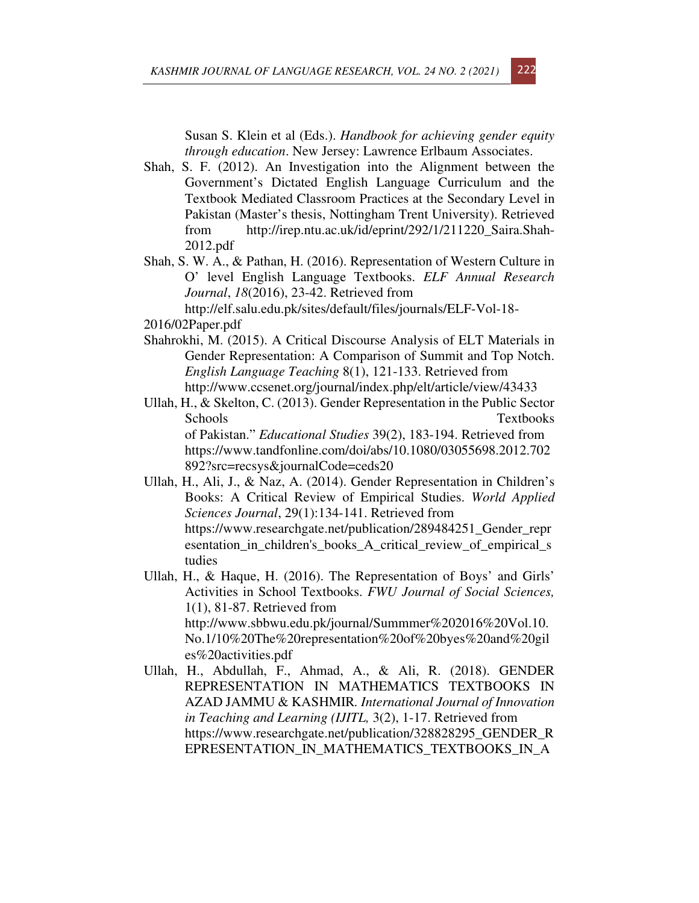Susan S. Klein et al (Eds.). *Handbook for achieving gender equity through education*. New Jersey: Lawrence Erlbaum Associates.

- Shah, S. F. (2012). An Investigation into the Alignment between the Government's Dictated English Language Curriculum and the Textbook Mediated Classroom Practices at the Secondary Level in Pakistan (Master's thesis, Nottingham Trent University). Retrieved from http://irep.ntu.ac.uk/id/eprint/292/1/211220\_Saira.Shah-2012.pdf
- Shah, S. W. A., & Pathan, H. (2016). Representation of Western Culture in O' level English Language Textbooks. *ELF Annual Research Journal*, *18*(2016), 23-42. Retrieved from

http://elf.salu.edu.pk/sites/default/files/journals/ELF-Vol-18- 2016/02Paper.pdf

- Shahrokhi, M. (2015). A Critical Discourse Analysis of ELT Materials in Gender Representation: A Comparison of Summit and Top Notch. *English Language Teaching* 8(1), 121-133. Retrieved from http://www.ccsenet.org/journal/index.php/elt/article/view/43433
- Ullah, H., & Skelton, C. (2013). Gender Representation in the Public Sector Schools Textbooks of Pakistan." *Educational Studies* 39(2), 183-194. Retrieved from https://www.tandfonline.com/doi/abs/10.1080/03055698.2012.702 892?src=recsys&journalCode=ceds20
- Ullah, H., Ali, J., & Naz, A. (2014). Gender Representation in Children's Books: A Critical Review of Empirical Studies. *World Applied Sciences Journal*, 29(1):134-141. Retrieved from https://www.researchgate.net/publication/289484251\_Gender\_repr esentation\_in\_children's\_books\_A\_critical\_review\_of\_empirical\_s tudies
- Ullah, H., & Haque, H. (2016). The Representation of Boys' and Girls' Activities in School Textbooks. *FWU Journal of Social Sciences,* 1(1), 81-87. Retrieved from http://www.sbbwu.edu.pk/journal/Summmer%202016%20Vol.10. No.1/10%20The%20representation%20of%20byes%20and%20gil es%20activities.pdf
- Ullah, H., Abdullah, F., Ahmad, A., & Ali, R. (2018). GENDER REPRESENTATION IN MATHEMATICS TEXTBOOKS IN AZAD JAMMU & KASHMIR*. International Journal of Innovation in Teaching and Learning (IJITL,* 3(2), 1-17. Retrieved from https://www.researchgate.net/publication/328828295\_GENDER\_R EPRESENTATION\_IN\_MATHEMATICS\_TEXTBOOKS\_IN\_A